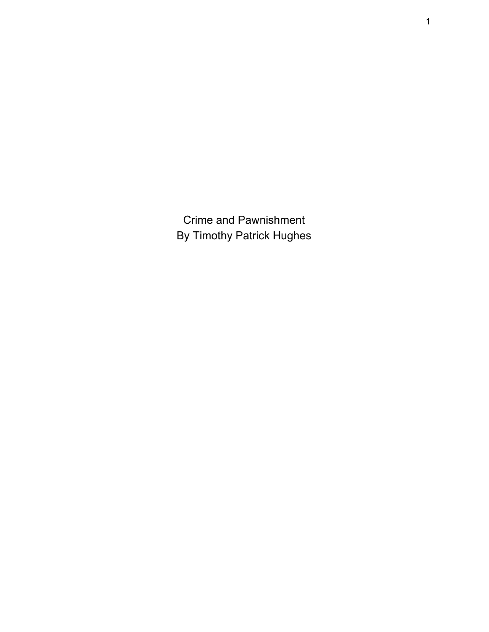Crime and Pawnishment By Timothy Patrick Hughes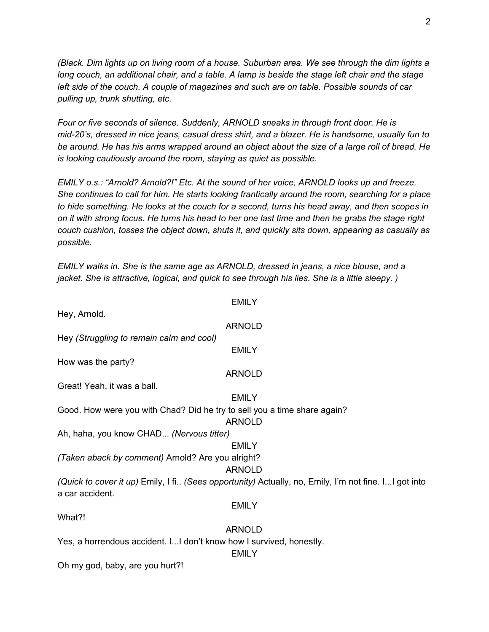(Black. Dim lights up on living room of a house. Suburban area. We see through the dim lights a long couch, an additional chair, and a table. A lamp is beside the stage left chair and the stage *left side of the couch. A couple of magazines and such are on table. Possible sounds of car pulling up, trunk shutting, etc.*

*Four or five seconds of silence. Suddenly, ARNOLD sneaks in through front door. He is mid-20's, dressed in nice jeans, casual dress shirt, and a blazer. He is handsome, usually fun to* be around. He has his arms wrapped around an object about the size of a large roll of bread. He *is looking cautiously around the room, staying as quiet as possible.*

*EMILY o.s.: "Arnold? Arnold?!" Etc. At the sound of her voice, ARNOLD looks up and freeze. She continues to call for him. He starts looking frantically around the room, searching for a place* to hide something. He looks at the couch for a second, turns his head away, and then scopes in on it with strong focus. He turns his head to her one last time and then he grabs the stage right *couch cushion, tosses the object down, shuts it, and quickly sits down, appearing as casually as possible.*

*EMILY walks in. She is the same age as ARNOLD, dressed in jeans, a nice blouse, and a jacket. She is attractive, logical, and quick to see through his lies. She is a little sleepy. )*

**EMILY** Hey, Arnold. ARNOLD Hey *(Struggling to remain calm and cool)* EMILY How was the party? ARNOLD Great! Yeah, it was a ball. EMILY Good. How were you with Chad? Did he try to sell you a time share again? ARNOLD Ah, haha, you know CHAD... *(Nervous titter)* **EMILY** *(Taken aback by comment)* Arnold? Are you alright? ARNOLD *(Quick to cover it up)* Emily, I fi.. *(Sees opportunity)* Actually, no, Emily, I'm not fine. I...I got into a car accident. EMILY What?! ARNOLD Yes, a horrendous accident. I...I don't know how I survived, honestly. EMILY

Oh my god, baby, are you hurt?!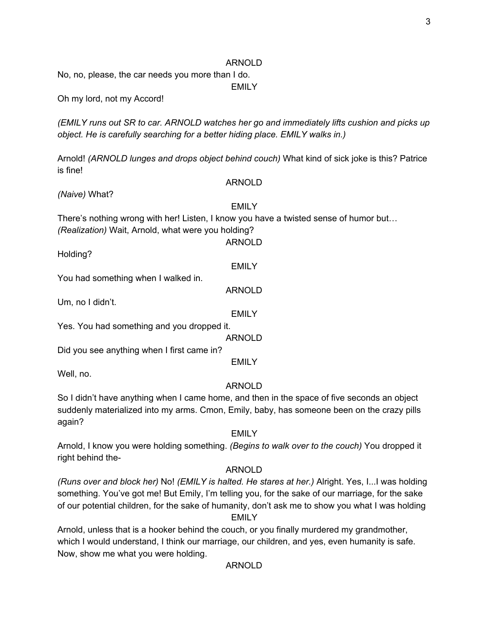No, no, please, the car needs you more than I do.

EMILY

Oh my lord, not my Accord!

*(EMILY runs out SR to car. ARNOLD watches her go and immediately lifts cushion and picks up object. He is carefully searching for a better hiding place. EMILY walks in.)*

Arnold! *(ARNOLD lunges and drops object behind couch)* What kind of sick joke is this? Patrice is fine!

ARNOLD

*(Naive)* What?

EMILY

ARNOLD

**EMILY** 

There's nothing wrong with her! Listen, I know you have a twisted sense of humor but…

*(Realization)* Wait, Arnold, what were you holding?

Holding?

You had something when I walked in.

ARNOLD

Um, no I didn't.

EMILY

Yes. You had something and you dropped it.

ARNOLD

Did you see anything when I first came in?

**EMILY** 

Well, no.

#### ARNOLD

So I didn't have anything when I came home, and then in the space of five seconds an object suddenly materialized into my arms. Cmon, Emily, baby, has someone been on the crazy pills again?

#### EMILY

Arnold, I know you were holding something. *(Begins to walk over to the couch)* You dropped it right behind the-

#### ARNOLD

*(Runs over and block her)* No! *(EMILY is halted. He stares at her.)* Alright. Yes, I...I was holding something. You've got me! But Emily, I'm telling you, for the sake of our marriage, for the sake of our potential children, for the sake of humanity, don't ask me to show you what I was holding EMILY

Arnold, unless that is a hooker behind the couch, or you finally murdered my grandmother, which I would understand, I think our marriage, our children, and yes, even humanity is safe. Now, show me what you were holding.

ARNOLD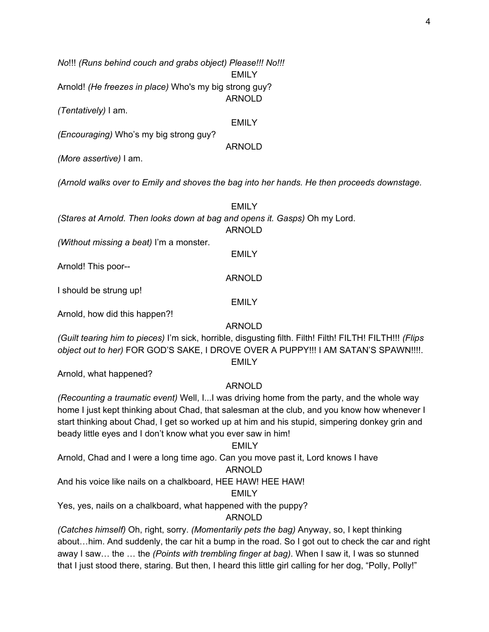*No*!!! *(Runs behind couch and grabs object) Please!!! No!!!*

EMILY

ARNOLD

Arnold! *(He freezes in place)* Who's my big strong guy?

*(Tentatively)* I am.

EMILY

ARNOLD

*(Encouraging)* Who's my big strong guy?

*(More assertive)* I am.

*(Arnold walks over to Emily and shoves the bag into her hands. He then proceeds downstage.*

|                                                            | FMII Y                                                                     |
|------------------------------------------------------------|----------------------------------------------------------------------------|
|                                                            | (Stares at Arnold. Then looks down at bag and opens it. Gasps) Oh my Lord. |
|                                                            | ARNOLD                                                                     |
| $(Mithout\text{ microina} \geq \text{heat})$ I'm a moneter |                                                                            |

*(Without missing a beat)* I'm a monster.

Arnold! This poor--

I should be strung up!

Arnold, how did this happen?!

# ARNOLD

EMILY

EMILY

ARNOLD

*(Guilt tearing him to pieces)* I'm sick, horrible, disgusting filth. Filth! Filth! FILTH! FILTH!!! *(Flips object out to her)* FOR GOD'S SAKE, I DROVE OVER A PUPPY!!! I AM SATAN'S SPAWN!!!!. EMILY

Arnold, what happened?

# ARNOLD

*(Recounting a traumatic event)* Well, I...I was driving home from the party, and the whole way home I just kept thinking about Chad, that salesman at the club, and you know how whenever I start thinking about Chad, I get so worked up at him and his stupid, simpering donkey grin and beady little eyes and I don't know what you ever saw in him!

# EMILY

Arnold, Chad and I were a long time ago. Can you move past it, Lord knows I have

# ARNOLD

And his voice like nails on a chalkboard, HEE HAW! HEE HAW!

# EMILY

Yes, yes, nails on a chalkboard, what happened with the puppy?

# ARNOLD

*(Catches himself)* Oh, right, sorry. *(Momentarily pets the bag)* Anyway, so, I kept thinking about…him. And suddenly, the car hit a bump in the road. So I got out to check the car and right away I saw… the … the *(Points with trembling finger at bag)*. When I saw it, I was so stunned that I just stood there, staring. But then, I heard this little girl calling for her dog, "Polly, Polly!"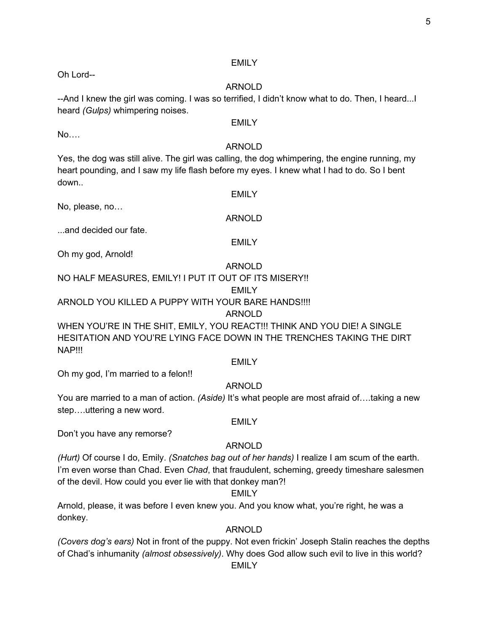# EMILY

# ARNOLD

--And I knew the girl was coming. I was so terrified, I didn't know what to do. Then, I heard...I heard *(Gulps)* whimpering noises.

## **EMILY**

# ARNOLD

Yes, the dog was still alive. The girl was calling, the dog whimpering, the engine running, my heart pounding, and I saw my life flash before my eyes. I knew what I had to do. So I bent down..

No, please, no…

...and decided our fate.

Oh my god, Arnold!

# ARNOLD

# NO HALF MEASURES, EMILY! I PUT IT OUT OF ITS MISERY!!

# EMILY

ARNOLD YOU KILLED A PUPPY WITH YOUR BARE HANDS!!!!

# ARNOLD

WHEN YOU'RE IN THE SHIT, EMILY, YOU REACT!!! THINK AND YOU DIE! A SINGLE HESITATION AND YOU'RE LYING FACE DOWN IN THE TRENCHES TAKING THE DIRT NAP!!!

## **EMILY**

Oh my god, I'm married to a felon!!

# ARNOLD

You are married to a man of action. *(Aside)* It's what people are most afraid of….taking a new step….uttering a new word.

# **EMILY**

Don't you have any remorse?

# ARNOLD

*(Hurt)* Of course I do, Emily. *(Snatches bag out of her hands)* I realize I am scum of the earth. I'm even worse than Chad. Even *Chad*, that fraudulent, scheming, greedy timeshare salesmen of the devil. How could you ever lie with that donkey man?!

# EMILY

Arnold, please, it was before I even knew you. And you know what, you're right, he was a donkey.

# ARNOLD

*(Covers dog's ears)* Not in front of the puppy. Not even frickin' Joseph Stalin reaches the depths of Chad's inhumanity *(almost obsessively)*. Why does God allow such evil to live in this world?

EMILY

Oh Lord--

No….

EMILY

# ARNOLD

EMILY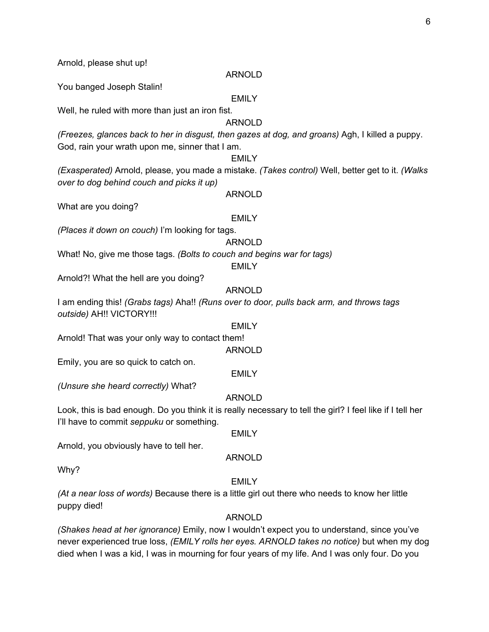Arnold, please shut up!

#### ARNOLD

You banged Joseph Stalin!

#### **EMILY**

Well, he ruled with more than just an iron fist.

# ARNOLD

*(Freezes, glances back to her in disgust, then gazes at dog, and groans)* Agh, I killed a puppy. God, rain your wrath upon me, sinner that I am.

### **EMILY**

*(Exasperated)* Arnold, please, you made a mistake. *(Takes control)* Well, better get to it. *(Walks over to dog behind couch and picks it up)*

#### ARNOLD

What are you doing?

#### EMILY

*(Places it down on couch)* I'm looking for tags.

#### ARNOLD

What! No, give me those tags. *(Bolts to couch and begins war for tags)*

#### **EMILY**

Arnold?! What the hell are you doing?

# ARNOLD

I am ending this! *(Grabs tags)* Aha!! *(Runs over to door, pulls back arm, and throws tags outside)* AH!! VICTORY!!!

#### EMILY

Arnold! That was your only way to contact them!

#### ARNOLD

Emily, you are so quick to catch on.

#### EMILY

*(Unsure she heard correctly)* What?

### ARNOLD

Look, this is bad enough. Do you think it is really necessary to tell the girl? I feel like if I tell her I'll have to commit *seppuku* or something.

# EMILY

Arnold, you obviously have to tell her.

#### ARNOLD

Why?

#### EMILY

*(At a near loss of words)* Because there is a little girl out there who needs to know her little puppy died!

### ARNOLD

*(Shakes head at her ignorance)* Emily, now I wouldn't expect you to understand, since you've never experienced true loss, *(EMILY rolls her eyes. ARNOLD takes no notice)* but when my dog died when I was a kid, I was in mourning for four years of my life. And I was only four. Do you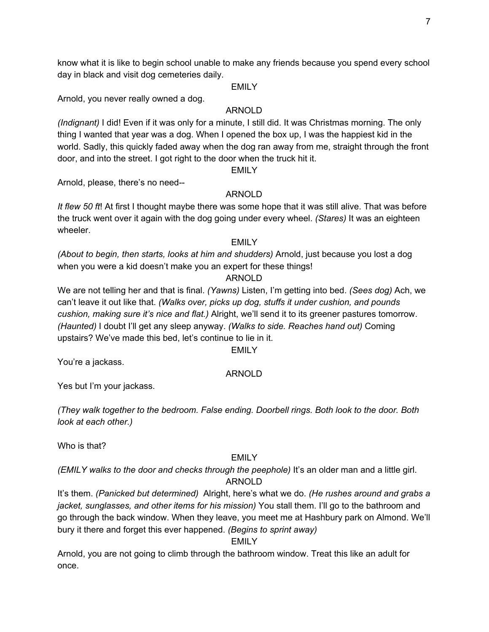know what it is like to begin school unable to make any friends because you spend every school day in black and visit dog cemeteries daily.

#### EMILY

Arnold, you never really owned a dog.

## ARNOLD

*(Indignant)* I did! Even if it was only for a minute, I still did. It was Christmas morning. The only thing I wanted that year was a dog. When I opened the box up, I was the happiest kid in the world. Sadly, this quickly faded away when the dog ran away from me, straight through the front door, and into the street. I got right to the door when the truck hit it.

EMILY

Arnold, please, there's no need--

# ARNOLD

*It flew 50 ft*! At first I thought maybe there was some hope that it was still alive. That was before the truck went over it again with the dog going under every wheel. *(Stares)* It was an eighteen wheeler.

### EMILY

*(About to begin, then starts, looks at him and shudders)* Arnold, just because you lost a dog when you were a kid doesn't make you an expert for these things!

# ARNOLD

We are not telling her and that is final. *(Yawns)* Listen, I'm getting into bed. *(Sees dog)* Ach, we can't leave it out like that. *(Walks over, picks up dog, stuffs it under cushion, and pounds cushion, making sure it's nice and flat.)* Alright, we'll send it to its greener pastures tomorrow. *(Haunted)* I doubt I'll get any sleep anyway. *(Walks to side. Reaches hand out)* Coming upstairs? We've made this bed, let's continue to lie in it.

#### EMILY

You're a jackass.

### ARNOLD

Yes but I'm your jackass.

*(They walk together to the bedroom. False ending. Doorbell rings. Both look to the door. Both look at each other.)*

Who is that?

### EMILY

*(EMILY walks to the door and checks through the peephole)* It's an older man and a little girl. ARNOLD

It's them. *(Panicked but determined)* Alright, here's what we do. *(He rushes around and grabs a jacket, sunglasses, and other items for his mission)* You stall them. I'll go to the bathroom and go through the back window. When they leave, you meet me at Hashbury park on Almond. We'll bury it there and forget this ever happened. *(Begins to sprint away)*

# EMILY

Arnold, you are not going to climb through the bathroom window. Treat this like an adult for once.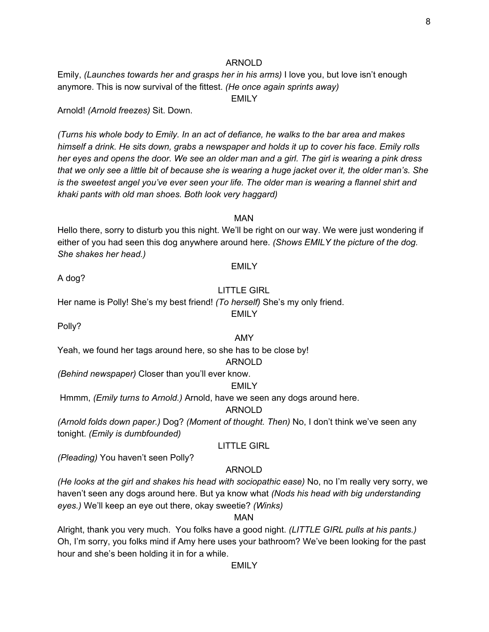Emily, *(Launches towards her and grasps her in his arms)* I love you, but love isn't enough anymore. This is now survival of the fittest. *(He once again sprints away)*

EMILY

Arnold! *(Arnold freezes)* Sit. Down.

*(Turns his whole body to Emily. In an act of defiance, he walks to the bar area and makes* himself a drink. He sits down, grabs a newspaper and holds it up to cover his face. Emily rolls her eyes and opens the door. We see an older man and a girl. The girl is wearing a pink dress that we only see a little bit of because she is wearing a huge jacket over it, the older man's. She *is the sweetest angel you've ever seen your life. The older man is wearing a flannel shirt and khaki pants with old man shoes. Both look very haggard)*

MAN

Hello there, sorry to disturb you this night. We'll be right on our way. We were just wondering if either of you had seen this dog anywhere around here. *(Shows EMILY the picture of the dog. She shakes her head.)*

#### EMILY

A dog?

#### LITTLE GIRL

EMILY

Her name is Polly! She's my best friend! *(To herself)* She's my only friend.

Polly?

#### AMY

Yeah, we found her tags around here, so she has to be close by!

#### ARNOLD

*(Behind newspaper)* Closer than you'll ever know.

#### EMILY

Hmmm, *(Emily turns to Arnold.)* Arnold, have we seen any dogs around here.

#### ARNOLD

*(Arnold folds down paper.)* Dog? *(Moment of thought. Then)* No, I don't think we've seen any tonight. *(Emily is dumbfounded)*

### LITTLE GIRL

*(Pleading)* You haven't seen Polly?

#### ARNOLD

*(He looks at the girl and shakes his head with sociopathic ease)* No, no I'm really very sorry, we haven't seen any dogs around here. But ya know what *(Nods his head with big understanding eyes.)* We'll keep an eye out there, okay sweetie? *(Winks)*

#### MAN

Alright, thank you very much. You folks have a good night. *(LITTLE GIRL pulls at his pants.)* Oh, I'm sorry, you folks mind if Amy here uses your bathroom? We've been looking for the past hour and she's been holding it in for a while.

EMILY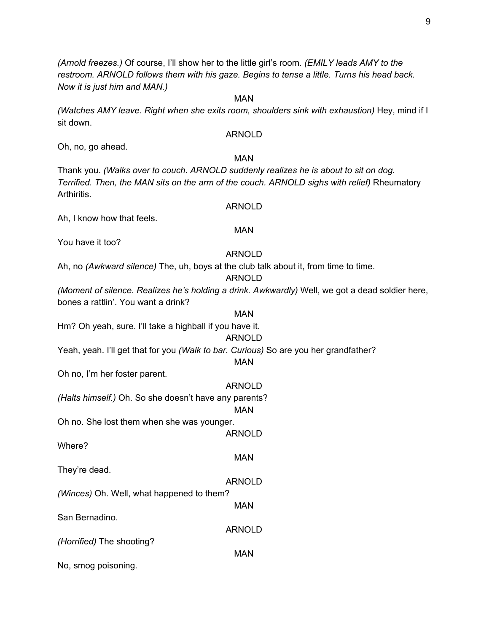*(Arnold freezes.)* Of course, I'll show her to the little girl's room. *(EMILY leads AMY to the restroom. ARNOLD follows them with his gaze. Begins to tense a little. Turns his head back. Now it is just him and MAN.)*

*(Watches AMY leave. Right when she exits room, shoulders sink with exhaustion)* Hey, mind if I sit down.

MAN

#### ARNOLD

Oh, no, go ahead.

#### MAN

Thank you. *(Walks over to couch. ARNOLD suddenly realizes he is about to sit on dog. Terrified. Then, the MAN sits on the arm of the couch. ARNOLD sighs with relief)* Rheumatory Arthiritis.

ARNOLD

MAN

Ah, I know how that feels.

You have it too?

#### ARNOLD

Ah, no *(Awkward silence)* The, uh, boys at the club talk about it, from time to time.

#### ARNOLD

*(Moment of silence. Realizes he's holding a drink. Awkwardly)* Well, we got a dead soldier here, bones a rattlin'. You want a drink?

MAN Hm? Oh yeah, sure. I'll take a highball if you have it.

# ARNOLD

Yeah, yeah. I'll get that for you *(Walk to bar. Curious)* So are you her grandfather?

### MAN

MAN

ARNOLD

MAN

Oh no, I'm her foster parent.

ARNOLD *(Halts himself.)* Oh. So she doesn't have any parents? MAN Oh no. She lost them when she was younger. ARNOLD Where? MAN They're dead. ARNOLD *(Winces)* Oh. Well, what happened to them?

San Bernadino.

*(Horrified)* The shooting?

No, smog poisoning.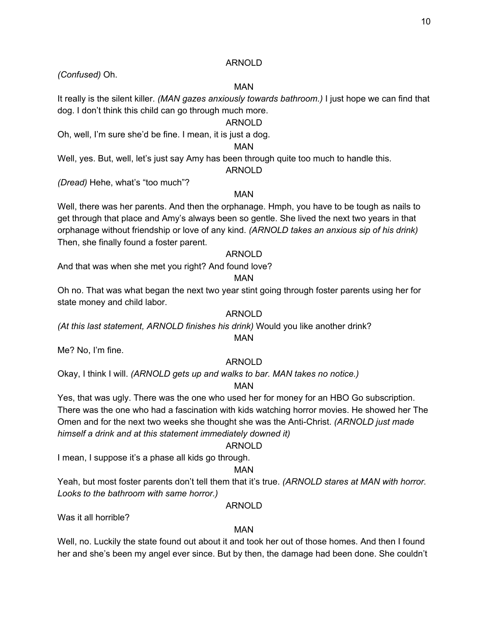*(Confused)* Oh.

#### MAN

It really is the silent killer. *(MAN gazes anxiously towards bathroom.)* I just hope we can find that dog. I don't think this child can go through much more.

### ARNOLD

Oh, well, I'm sure she'd be fine. I mean, it is just a dog.

### MAN

Well, yes. But, well, let's just say Amy has been through quite too much to handle this.

#### ARNOLD

*(Dread)* Hehe, what's "too much"?

# MAN

Well, there was her parents. And then the orphanage. Hmph, you have to be tough as nails to get through that place and Amy's always been so gentle. She lived the next two years in that orphanage without friendship or love of any kind. *(ARNOLD takes an anxious sip of his drink)* Then, she finally found a foster parent.

# ARNOLD

And that was when she met you right? And found love?

### MAN

Oh no. That was what began the next two year stint going through foster parents using her for state money and child labor.

### ARNOLD

*(At this last statement, ARNOLD finishes his drink)* Would you like another drink?

### MAN

Me? No, I'm fine.

### ARNOLD

Okay, I think I will. *(ARNOLD gets up and walks to bar. MAN takes no notice.)*

### MAN

Yes, that was ugly. There was the one who used her for money for an HBO Go subscription. There was the one who had a fascination with kids watching horror movies. He showed her The Omen and for the next two weeks she thought she was the Anti-Christ. *(ARNOLD just made himself a drink and at this statement immediately downed it)*

### ARNOLD

I mean, I suppose it's a phase all kids go through.

# MAN

Yeah, but most foster parents don't tell them that it's true. *(ARNOLD stares at MAN with horror. Looks to the bathroom with same horror.)*

### ARNOLD

Was it all horrible?

### MAN

Well, no. Luckily the state found out about it and took her out of those homes. And then I found her and she's been my angel ever since. But by then, the damage had been done. She couldn't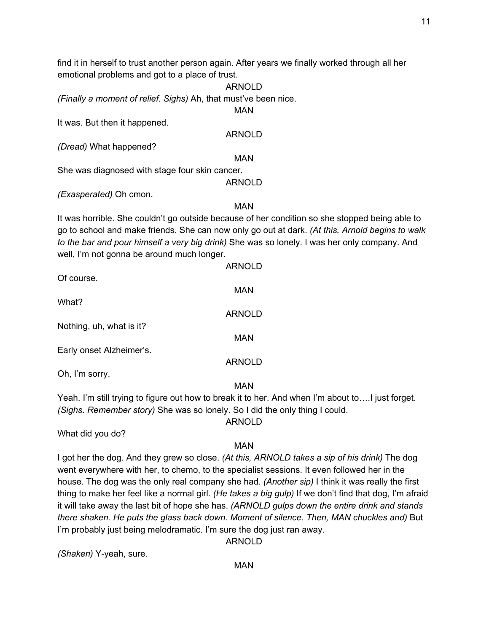find it in herself to trust another person again. After years we finally worked through all her emotional problems and got to a place of trust.

ARNOLD *(Finally a moment of relief. Sighs)* Ah, that must've been nice. MAN It was. But then it happened. ARNOLD *(Dread)* What happened? MAN She was diagnosed with stage four skin cancer. ARNOLD *(Exasperated)* Oh cmon.

MAN

It was horrible. She couldn't go outside because of her condition so she stopped being able to go to school and make friends. She can now only go out at dark. *(At this, Arnold begins to walk to the bar and pour himself a very big drink)* She was so lonely. I was her only company. And well, I'm not gonna be around much longer.

| Of course.               | <b>ARNOLD</b> |
|--------------------------|---------------|
|                          | <b>MAN</b>    |
| What?                    |               |
| Nothing, uh, what is it? | <b>ARNOLD</b> |
|                          | <b>MAN</b>    |
| Early onset Alzheimer's. | <b>ARNOLD</b> |
| Oh, I'm sorry.           |               |

MAN

Yeah. I'm still trying to figure out how to break it to her. And when I'm about to….I just forget. *(Sighs. Remember story)* She was so lonely. So I did the only thing I could.

What did you do?

### MAN

ARNOLD

I got her the dog. And they grew so close. *(At this, ARNOLD takes a sip of his drink)* The dog went everywhere with her, to chemo, to the specialist sessions. It even followed her in the house. The dog was the only real company she had. *(Another sip)* I think it was really the first thing to make her feel like a normal girl. *(He takes a big gulp)* If we don't find that dog, I'm afraid it will take away the last bit of hope she has. *(ARNOLD gulps down the entire drink and stands there shaken. He puts the glass back down. Moment of silence. Then, MAN chuckles and)* But I'm probably just being melodramatic. I'm sure the dog just ran away.

*(Shaken)* Y-yeah, sure.

MAN

ARNOLD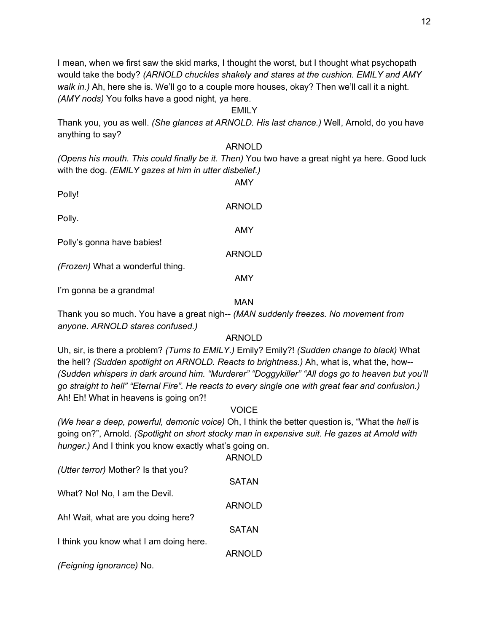I mean, when we first saw the skid marks, I thought the worst, but I thought what psychopath would take the body? *(ARNOLD chuckles shakely and stares at the cushion. EMILY and AMY walk in.)* Ah, here she is. We'll go to a couple more houses, okay? Then we'll call it a night. *(AMY nods)* You folks have a good night, ya here.

#### EMILY

Thank you, you as well. *(She glances at ARNOLD. His last chance.)* Well, Arnold, do you have anything to say?

#### ARNOLD

*(Opens his mouth. This could finally be it. Then)* You two have a great night ya here. Good luck with the dog. *(EMILY gazes at him in utter disbelief.)*

AMY

ARNOLD

ARNOLD

AMY

Polly!

Polly.

AMY

Polly's gonna have babies!

*(Frozen)* What a wonderful thing.

I'm gonna be a grandma!

MAN

Thank you so much. You have a great nigh-- *(MAN suddenly freezes. No movement from anyone. ARNOLD stares confused.)*

### ARNOLD

Uh, sir, is there a problem? *(Turns to EMILY.)* Emily? Emily?! *(Sudden change to black)* What the hell? *(Sudden spotlight on ARNOLD. Reacts to brightness.)* Ah, what is, what the, how-- *(Sudden whispers in dark around him. "Murderer" "Doggykiller" "All dogs go to heaven but you'll go straight to hell" "Eternal Fire". He reacts to every single one with great fear and confusion.)* Ah! Eh! What in heavens is going on?!

#### **VOICE**

*(We hear a deep, powerful, demonic voice)* Oh, I think the better question is, "What the *hell* is going on?", Arnold. *(Spotlight on short stocky man in expensive suit. He gazes at Arnold with hunger.)* And I think you know exactly what's going on.

|                                        | <b>ARNOLD</b> |
|----------------------------------------|---------------|
| (Utter terror) Mother? Is that you?    |               |
|                                        | <b>SATAN</b>  |
| What? No! No, I am the Devil.          |               |
|                                        | <b>ARNOLD</b> |
| Ah! Wait, what are you doing here?     |               |
|                                        | <b>SATAN</b>  |
| I think you know what I am doing here. |               |
|                                        | <b>ARNOLD</b> |
| (Feigning ignorance) No.               |               |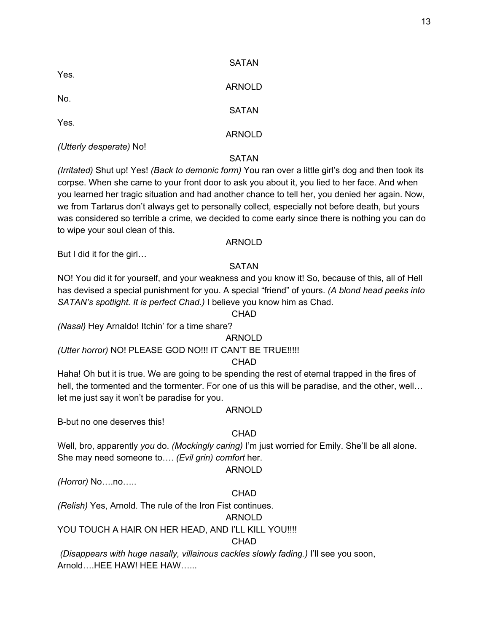| <b>SATAN</b>  |
|---------------|
| <b>ARNOLD</b> |
| <b>SATAN</b>  |
|               |
| <b>ARNOLD</b> |
|               |

### **SATAN**

*(Irritated)* Shut up! Yes! *(Back to demonic form)* You ran over a little girl's dog and then took its corpse. When she came to your front door to ask you about it, you lied to her face. And when you learned her tragic situation and had another chance to tell her, you denied her again. Now, we from Tartarus don't always get to personally collect, especially not before death, but yours was considered so terrible a crime, we decided to come early since there is nothing you can do to wipe your soul clean of this.

#### ARNOLD

But I did it for the girl…

#### SATAN

NO! You did it for yourself, and your weakness and you know it! So, because of this, all of Hell has devised a special punishment for you. A special "friend" of yours. *(A blond head peeks into SATAN's spotlight. It is perfect Chad.)* I believe you know him as Chad.

#### CHAD

*(Nasal)* Hey Arnaldo! Itchin' for a time share?

#### ARNOLD

*(Utter horror)* NO! PLEASE GOD NO!!! IT CAN'T BE TRUE!!!!!

### CHAD

Haha! Oh but it is true. We are going to be spending the rest of eternal trapped in the fires of hell, the tormented and the tormenter. For one of us this will be paradise, and the other, well... let me just say it won't be paradise for you.

#### ARNOLD

B-but no one deserves this!

### **CHAD**

Well, bro, apparently *you* do. *(Mockingly caring)* I'm just worried for Emily. She'll be all alone. She may need someone to…. *(Evil grin) comfort* her.

### ARNOLD

*(Horror)* No….no…..

# **CHAD**

*(Relish)* Yes, Arnold. The rule of the Iron Fist continues.

### ARNOLD

YOU TOUCH A HAIR ON HER HEAD, AND I'LL KILL YOU!!!!

## **CHAD**

*(Disappears with huge nasally, villainous cackles slowly fading.)* I'll see you soon, Arnold….HEE HAW! HEE HAW…...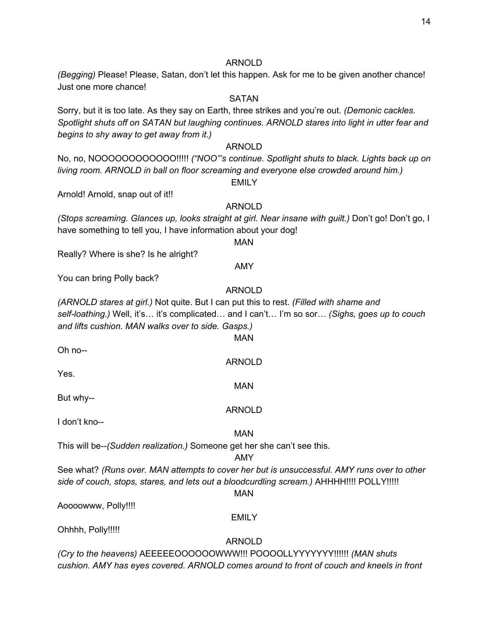*(Begging)* Please! Please, Satan, don't let this happen. Ask for me to be given another chance! Just one more chance!

## SATAN

Sorry, but it is too late. As they say on Earth, three strikes and you're out. *(Demonic cackles. Spotlight shuts off on SATAN but laughing continues. ARNOLD stares into light in utter fear and begins to shy away to get away from it.)*

#### ARNOLD

No, no, NOOOOOOOOOOOO!!!!! *("NOO"'s continue. Spotlight shuts to black. Lights back up on living room. ARNOLD in ball on floor screaming and everyone else crowded around him.)*

**EMILY** 

Arnold! Arnold, snap out of it!!

#### ARNOLD

*(Stops screaming. Glances up, looks straight at girl. Near insane with guilt.)* Don't go! Don't go, I have something to tell you, I have information about your dog!

#### MAN

Really? Where is she? Is he alright?

#### AMY

You can bring Polly back?

# ARNOLD

*(ARNOLD stares at girl.)* Not quite. But I can put this to rest. *(Filled with shame and self-loathing.)* Well, it's… it's complicated… and I can't… I'm so sor… *(Sighs, goes up to couch and lifts cushion. MAN walks over to side. Gasps.)*

MAN

ARNOLD

MAN

ARNOLD

Oh no--

Yes.

But why--

I don't kno--

#### MAN

This will be--*(Sudden realization.)* Someone get her she can't see this.

#### AMY

See what? *(Runs over. MAN attempts to cover her but is unsuccessful. AMY runs over to other side of couch, stops, stares, and lets out a bloodcurdling scream.)* AHHHH!!!! POLLY!!!!!

#### MAN

Aoooowww, Polly!!!!

#### EMILY

Ohhhh, Polly!!!!!

#### ARNOLD

*(Cry to the heavens)* AEEEEEOOOOOOWWW!!! POOOOLLYYYYYYY!!!!!! *(MAN shuts cushion. AMY has eyes covered. ARNOLD comes around to front of couch and kneels in front*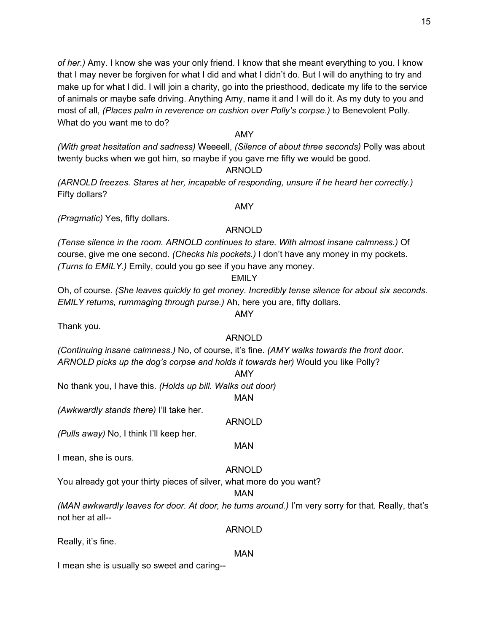*of her.)* Amy. I know she was your only friend. I know that she meant everything to you. I know that I may never be forgiven for what I did and what I didn't do. But I will do anything to try and make up for what I did. I will join a charity, go into the priesthood, dedicate my life to the service of animals or maybe safe driving. Anything Amy, name it and I will do it. As my duty to you and most of all, *(Places palm in reverence on cushion over Polly's corpse.)* to Benevolent Polly. What do you want me to do?

## AMY

*(With great hesitation and sadness)* Weeeell, *(Silence of about three seconds)* Polly was about twenty bucks when we got him, so maybe if you gave me fifty we would be good.

### ARNOLD

*(ARNOLD freezes. Stares at her, incapable of responding, unsure if he heard her correctly.)* Fifty dollars?

*(Pragmatic)* Yes, fifty dollars.

# ARNOLD

AMY

*(Tense silence in the room. ARNOLD continues to stare. With almost insane calmness.)* Of course, give me one second. *(Checks his pockets.)* I don't have any money in my pockets. *(Turns to EMILY.)* Emily, could you go see if you have any money.

### EMILY

Oh, of course. *(She leaves quickly to get money. Incredibly tense silence for about six seconds. EMILY returns, rummaging through purse.)* Ah, here you are, fifty dollars.

AMY

Thank you.

# ARNOLD

*(Continuing insane calmness.)* No, of course, it's fine. *(AMY walks towards the front door. ARNOLD picks up the dog's corpse and holds it towards her)* Would you like Polly?

#### AMY

No thank you, I have this. *(Holds up bill. Walks out door)*

MAN

*(Awkwardly stands there)* I'll take her.

ARNOLD

MAN

*(Pulls away)* No, I think I'll keep her.

I mean, she is ours.

# ARNOLD

You already got your thirty pieces of silver, what more do you want?

### MAN

*(MAN awkwardly leaves for door. At door, he turns around.)* I'm very sorry for that. Really, that's not her at all--

Really, it's fine.

# MAN

ARNOLD

I mean she is usually so sweet and caring--